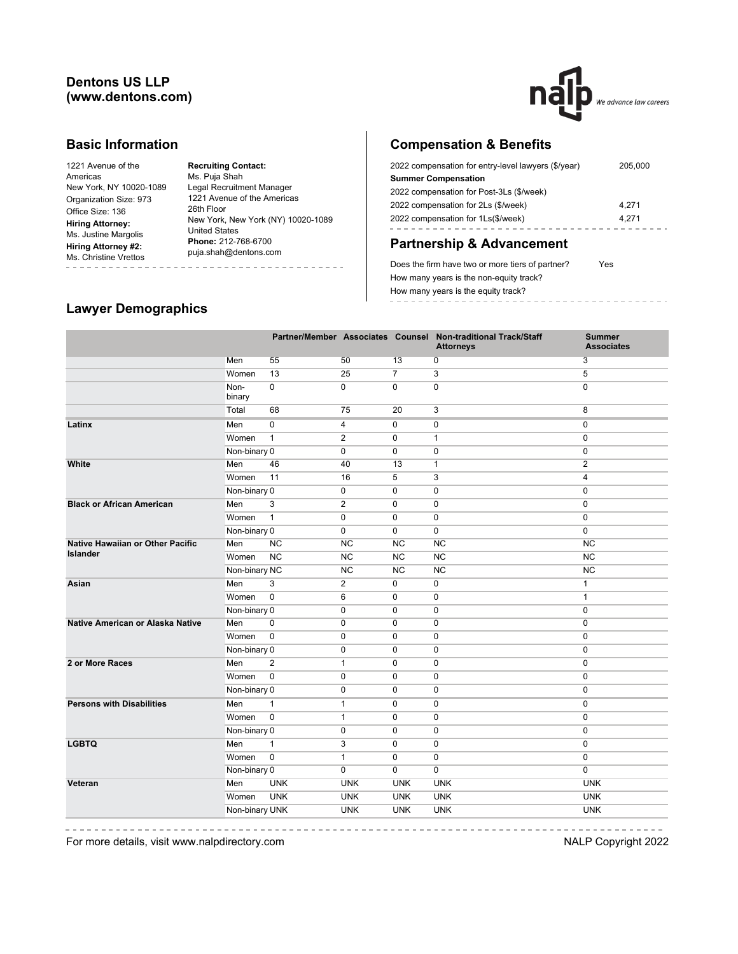## **Dentons US LLP (www.dentons.com)**



### **Basic Information**

| 1221 Avenue of the      |
|-------------------------|
| Americas                |
| New York, NY 10020-1089 |
| Organization Size: 973  |
| Office Size: 136        |
| <b>Hiring Attorney:</b> |
| Ms. Justine Margolis    |
| Hiring Attorney #2:     |
| Ms. Christine Vrettos   |
|                         |

**Recruiting Contact:** Ms. Puja Shah Legal Recruitment Manager 1221 Avenue of the Americas 26th Floor New York, New York (NY) 10020-1089 United States **Phone:** 212-768-6700 puja.shah@dentons.com -----------------------

# **Compensation & Benefits**

| 2022 compensation for entry-level lawyers (\$/year) | 205.000 |
|-----------------------------------------------------|---------|
| <b>Summer Compensation</b>                          |         |
| 2022 compensation for Post-3Ls (\$/week)            |         |
| 2022 compensation for 2Ls (\$/week)                 | 4.271   |
| 2022 compensation for 1Ls(\$/week)                  | 4.271   |
|                                                     |         |

# **Partnership & Advancement**

Does the firm have two or more tiers of partner? Yes How many years is the non-equity track? How many years is the equity track? -----------------

# **Lawyer Demographics**

|                                  |                |                |                |                | Partner/Member Associates Counsel Non-traditional Track/Staff<br><b>Attorneys</b> | <b>Summer</b><br><b>Associates</b> |
|----------------------------------|----------------|----------------|----------------|----------------|-----------------------------------------------------------------------------------|------------------------------------|
|                                  | Men            | 55             | 50             | 13             | 0                                                                                 | 3                                  |
|                                  | Women          | 13             | 25             | $\overline{7}$ | 3                                                                                 | 5                                  |
|                                  | Non-<br>binary | $\pmb{0}$      | $\mathbf 0$    | $\mathbf 0$    | 0                                                                                 | $\mathbf 0$                        |
|                                  | Total          | 68             | 75             | 20             | 3                                                                                 | 8                                  |
| Latinx                           | Men            | $\mathbf 0$    | 4              | $\mathbf 0$    | $\mathbf 0$                                                                       | $\mathbf{0}$                       |
|                                  | Women          | $\mathbf{1}$   | $\overline{2}$ | $\mathbf 0$    | 1                                                                                 | $\mathbf 0$                        |
|                                  | Non-binary 0   |                | 0              | $\mathbf 0$    | 0                                                                                 | $\mathbf 0$                        |
| White                            | Men            | 46             | 40             | 13             | $\mathbf{1}$                                                                      | $\overline{2}$                     |
|                                  | Women          | 11             | 16             | 5              | 3                                                                                 | 4                                  |
|                                  | Non-binary 0   |                | 0              | $\mathbf 0$    | $\mathbf 0$                                                                       | $\mathbf 0$                        |
| <b>Black or African American</b> | Men            | 3              | $\overline{2}$ | $\mathbf 0$    | $\mathbf 0$                                                                       | $\mathbf 0$                        |
|                                  | Women          | $\mathbf{1}$   | $\mathbf 0$    | $\mathbf 0$    | $\mathbf 0$                                                                       | $\mathbf 0$                        |
|                                  | Non-binary 0   |                | 0              | $\mathbf 0$    | $\pmb{0}$                                                                         | 0                                  |
| Native Hawaiian or Other Pacific | Men            | <b>NC</b>      | <b>NC</b>      | <b>NC</b>      | <b>NC</b>                                                                         | <b>NC</b>                          |
| <b>Islander</b>                  | Women          | <b>NC</b>      | NC             | <b>NC</b>      | <b>NC</b>                                                                         | <b>NC</b>                          |
|                                  | Non-binary NC  |                | <b>NC</b>      | <b>NC</b>      | <b>NC</b>                                                                         | NC                                 |
| Asian                            | Men            | 3              | $\overline{2}$ | $\mathbf 0$    | 0                                                                                 | $\mathbf{1}$                       |
|                                  | Women          | $\mathbf 0$    | 6              | $\mathbf 0$    | 0                                                                                 | $\mathbf{1}$                       |
|                                  | Non-binary 0   |                | $\mathbf 0$    | $\mathbf 0$    | $\mathbf 0$                                                                       | $\mathbf 0$                        |
| Native American or Alaska Native | Men            | $\mathbf 0$    | $\mathbf 0$    | $\mathbf 0$    | $\mathbf 0$                                                                       | $\mathbf{0}$                       |
|                                  | Women          | $\pmb{0}$      | 0              | $\pmb{0}$      | 0                                                                                 | $\mathbf 0$                        |
|                                  | Non-binary 0   |                | $\pmb{0}$      | $\pmb{0}$      | $\pmb{0}$                                                                         | $\mathbf 0$                        |
| 2 or More Races                  | Men            | $\overline{2}$ | $\mathbf{1}$   | $\mathbf 0$    | $\pmb{0}$                                                                         | $\mathbf 0$                        |
|                                  | Women          | $\pmb{0}$      | $\mathbf 0$    | $\mathbf 0$    | 0                                                                                 | $\mathbf 0$                        |
|                                  | Non-binary 0   |                | $\mathbf 0$    | $\mathbf 0$    | 0                                                                                 | $\mathbf 0$                        |
| <b>Persons with Disabilities</b> | Men            | $\mathbf{1}$   | $\mathbf{1}$   | $\mathbf 0$    | 0                                                                                 | $\mathbf 0$                        |
|                                  | Women          | $\mathbf 0$    | 1              | 0              | 0                                                                                 | $\mathbf{0}$                       |
|                                  | Non-binary 0   |                | 0              | 0              | 0                                                                                 | $\mathbf{0}$                       |
| <b>LGBTQ</b>                     | Men            | $\mathbf{1}$   | 3              | $\Omega$       | $\mathbf 0$                                                                       | $\mathbf{0}$                       |
|                                  | Women          | $\mathbf 0$    | $\mathbf{1}$   | $\mathbf 0$    | $\mathbf 0$                                                                       | $\mathbf{0}$                       |
|                                  | Non-binary 0   |                | $\mathbf 0$    | $\mathbf 0$    | 0                                                                                 | $\mathbf 0$                        |
| Veteran                          | Men            | <b>UNK</b>     | <b>UNK</b>     | <b>UNK</b>     | <b>UNK</b>                                                                        | <b>UNK</b>                         |
|                                  | Women          | <b>UNK</b>     | <b>UNK</b>     | <b>UNK</b>     | <b>UNK</b>                                                                        | <b>UNK</b>                         |
|                                  | Non-binary UNK |                | <b>UNK</b>     | <b>UNK</b>     | <b>UNK</b>                                                                        | <b>UNK</b>                         |
|                                  |                |                |                |                |                                                                                   |                                    |

 $= -$ 

For more details, visit www.nalpdirectory.com **NALP** Copyright 2022

-----------------

-----------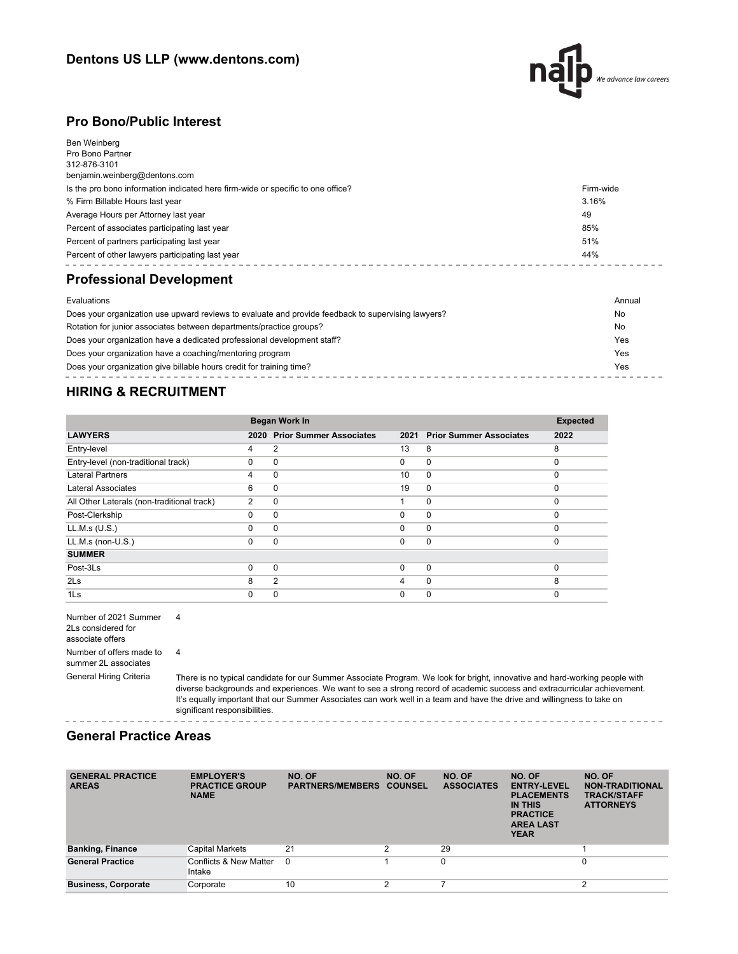

### **Pro Bono/Public Interest**

| Ben Weinberg                                                                    |           |
|---------------------------------------------------------------------------------|-----------|
| Pro Bono Partner                                                                |           |
| 312-876-3101                                                                    |           |
| benjamin.weinberg@dentons.com                                                   |           |
| Is the pro bono information indicated here firm-wide or specific to one office? | Firm-wide |
| % Firm Billable Hours last year                                                 | 3.16%     |
| Average Hours per Attorney last year                                            | 49        |
| Percent of associates participating last year                                   | 85%       |
| Percent of partners participating last year                                     | 51%       |
| Percent of other lawyers participating last year                                | 44%       |
| <b>Professional Development</b>                                                 |           |
| Evaluations                                                                     | Annual    |
|                                                                                 |           |

| Does your organization use upward reviews to evaluate and provide feedback to supervising lawyers? | No  |
|----------------------------------------------------------------------------------------------------|-----|
| Rotation for junior associates between departments/practice groups?                                | No  |
| Does your organization have a dedicated professional development staff?                            | Yes |
| Does your organization have a coaching/mentoring program                                           | Yes |
| Does your organization give billable hours credit for training time?                               | Yes |

# **HIRING & RECRUITMENT**

|                                            |                | Began Work In                  |          |                                |          |
|--------------------------------------------|----------------|--------------------------------|----------|--------------------------------|----------|
| <b>LAWYERS</b>                             | 2020           | <b>Prior Summer Associates</b> | 2021     | <b>Prior Summer Associates</b> | 2022     |
| Entry-level                                | 4              | 2                              | 13       | 8                              | 8        |
| Entry-level (non-traditional track)        | $\Omega$       | 0                              | $\Omega$ | $\mathbf 0$                    | $\Omega$ |
| <b>Lateral Partners</b>                    | 4              | $\Omega$                       | 10       | $\Omega$                       | $\Omega$ |
| Lateral Associates                         | 6              | $\Omega$                       | 19       | $\Omega$                       | $\Omega$ |
| All Other Laterals (non-traditional track) | $\overline{2}$ | 0                              |          | $\mathbf 0$                    | $\Omega$ |
| Post-Clerkship                             | $\Omega$       | $\Omega$                       | $\Omega$ | $\mathbf 0$                    | $\Omega$ |
| LL.M.s (U.S.)                              | 0              | $\Omega$                       | 0        | $\mathbf 0$                    | $\Omega$ |
| $LL.M.s$ (non- $U.S.$ )                    | $\Omega$       | $\Omega$                       | $\Omega$ | $\mathbf 0$                    | $\Omega$ |
| <b>SUMMER</b>                              |                |                                |          |                                |          |
| Post-3Ls                                   | $\Omega$       | $\Omega$                       | $\Omega$ | $\mathbf 0$                    | $\Omega$ |
| 2 <sub>ls</sub>                            | 8              | $\overline{2}$                 | 4        | $\mathbf 0$                    | 8        |
| 1Ls                                        | 0              | 0                              | $\Omega$ | 0                              | $\Omega$ |

Number of 2021 Summer 4 2Ls considered for associate offers Number of offers made to 4 summer 2L associates

General Hiring Criteria There is no typical candidate for our Summer Associate Program. We look for bright, innovative and hard-working people with diverse backgrounds and experiences. We want to see a strong record of academic success and extracurricular achievement. It's equally important that our Summer Associates can work well in a team and have the drive and willingness to take on significant responsibilities.

### **General Practice Areas**

| <b>GENERAL PRACTICE</b><br><b>AREAS</b> | <b>EMPLOYER'S</b><br><b>PRACTICE GROUP</b><br><b>NAME</b> | NO. OF<br><b>PARTNERS/MEMBERS</b> | NO. OF<br><b>COUNSEL</b> | NO. OF<br><b>ASSOCIATES</b> | NO. OF<br><b>ENTRY-LEVEL</b><br><b>PLACEMENTS</b><br>IN THIS<br><b>PRACTICE</b><br><b>AREA LAST</b><br><b>YEAR</b> | NO. OF<br><b>NON-TRADITIONAL</b><br><b>TRACK/STAFF</b><br><b>ATTORNEYS</b> |
|-----------------------------------------|-----------------------------------------------------------|-----------------------------------|--------------------------|-----------------------------|--------------------------------------------------------------------------------------------------------------------|----------------------------------------------------------------------------|
| <b>Banking, Finance</b>                 | <b>Capital Markets</b>                                    | 21                                | 2                        | 29                          |                                                                                                                    |                                                                            |
| <b>General Practice</b>                 | Conflicts & New Matter<br>Intake                          | $\Omega$                          |                          | $\Omega$                    |                                                                                                                    | 0                                                                          |
| <b>Business, Corporate</b>              | Corporate                                                 | 10                                | C                        |                             |                                                                                                                    | $\sim$                                                                     |